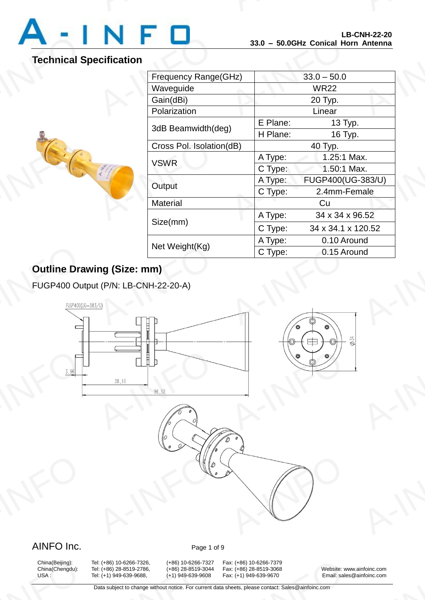

## **Technical Specification**

A-INFORMATION

|                 |                          |                    | LD-VNN-44-4V<br>33.0 - 50.0GHz Conical Horn Antenna |  |
|-----------------|--------------------------|--------------------|-----------------------------------------------------|--|
| ecification     |                          |                    |                                                     |  |
|                 | Frequency Range(GHz)     |                    | $33.0 - 50.0$                                       |  |
|                 | Waveguide                |                    | <b>WR22</b>                                         |  |
|                 | Gain(dBi)                |                    | 20 Typ.                                             |  |
|                 | Polarization             |                    | Linear                                              |  |
|                 |                          | E Plane:           | 13 Typ.                                             |  |
|                 | 3dB Beamwidth(deg)       | H Plane:           | 16 Typ.                                             |  |
|                 | Cross Pol. Isolation(dB) |                    | 40 Typ.                                             |  |
|                 | <b>VSWR</b>              |                    | 1.25:1 Max.                                         |  |
|                 |                          | C Type:            | 1.50:1 Max.                                         |  |
| Output          |                          | A Type:            | FUGP400(UG-383/U)                                   |  |
|                 |                          | C Type:            | 2.4mm-Female                                        |  |
| <b>Material</b> |                          |                    | Cu                                                  |  |
|                 |                          | A Type:            | 34 x 34 x 96.52                                     |  |
| Size(mm)        |                          | C Type:            | 34 x 34.1 x 120.52                                  |  |
|                 | Net Weight(Kg)           |                    | 0.10 Around                                         |  |
|                 |                          | A Type:<br>C Type: | 0.15 Around                                         |  |

## **Outline Drawing (Size: mm)**

FUGP400 Output (P/N: LB-CNH-22-20-A)



## AINFO Inc. Page 1 of 9

China(Beijing):<br>China(Chengdu):<br>USA :

China(Beijing): Tel: (+86) 10-6266-7326, (+86) 10-6266-7327 Fax: (+86) 10-6266-7379<br>China(Chengdu): Tel: (+86) 28-8519-2786, (+86) 28-8519-3044 Fax: (+86) 28-8519-3068 9: (+86) 10-6266-7326, (+86) 10-6266-7327<br>9: (+86) 28-8519-2786, (+86) 28-8519-3044<br>9: (+1) 949-639-9688, (+1) 949-639-9608<br>Data subject to change without notice. For current d

x: (+86) 10-6266-7379<br>x: (+86) 28-8519-3068 Website: w<br>x: (+1) 949-639-9670 Email: sale<br>heets, please contact: Sales@ainfoinc.com

Tel: (+86) 28-8519-2786, (+86) 28-8519-3044 Fax: (+86) 28-8519-3068 Website: www.ainfoinc.com<br>Tel: (+1) 949-639-9688, (+1) 949-639-9608 Fax: (+1) 949-639-9670 Email: sales@ainfoinc.com USA : Tel: (+1) 949-639-9688, (+1) 949-639-9608 Fax: (+1) 949-639-9670 Email: sales@ainfoinc.com A-INFO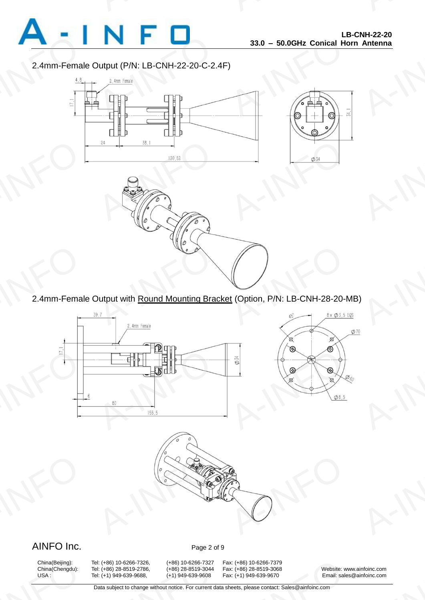

#### 2.4mm-Female Output (P/N: LB-CNH-22-20-C-2.4F)



EXAMPLE POINT Dutput with <u>Round Mounting Bracket</u> (Option, P/N: LB-CNH-28-20-M

2.4mm-Female Output with Round Mounting Bracket (Option, P/N: LB-CNH-28-20-MB)





### AINFO Inc. Page 2 of 9

China(Beijing):<br>China(Chengdu):<br>USA :

China(Beijing): Tel: (+86) 10-6266-7326, (+86) 10-6266-7327 Fax: (+86) 10-6266-7379<br>China(Chengdu): Tel: (+86) 28-8519-2786, (+86) 28-8519-3044 Fax: (+86) 28-8519-3068 9: (+86) 10-6266-7326, (+86) 10-6266-7327<br>9: (+86) 28-8519-2786, (+86) 28-8519-3044<br>9: (+1) 949-639-9688, (+1) 949-639-9608<br>Data subject to change without notice. For current d

x: (+86) 10-6266-7379<br>x: (+86) 28-8519-3068 Website: w<br>x: (+1) 949-639-9670 Email: sale<br>heets, please contact: Sales@ainfoinc.com

China(Chengdu): Tel: (+86) 28-8519-2786, (+86) 28-8519-3044 Fax: (+86) 28-8519-3068 Website: www.ainfoinc.com<br>USA : Tel: (+1) 949-639-9688, (+1) 949-639-9608 Fax: (+1) 949-639-9670 Email: sales@ainfoinc.com USA : Tel: (+1) 949-639-9688, (+1) 949-639-9608 Fax: (+1) 949-639-9670 Email: sales@ainfoinc.com A-INFO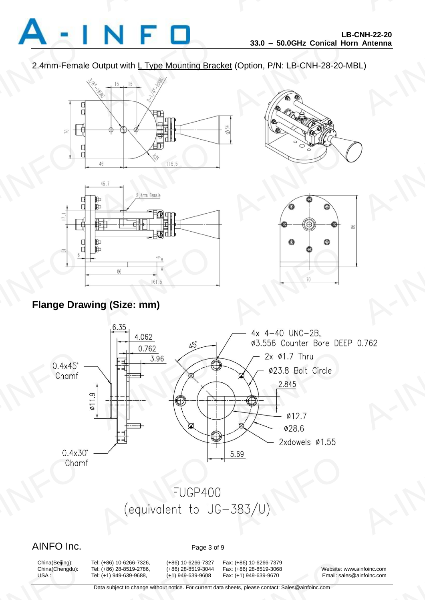

2.4mm-Female Output with L Type Mounting Bracket (Option, P/N: LB-CNH-28-20-MBL)









## **Flange Drawing (Size: mm)**



### AINFO Inc. Page 3 of 9

China(Beijing):<br>China(Chengdu):<br>USA :

9: (+86) 10-6266-7326, (+86) 10-6266-7327<br>9: (+86) 28-8519-2786, (+86) 28-8519-3044<br>9: (+1) 949-639-9688, (+1) 949-639-9608<br>Data subject to change without notice. For current d

China(Beijing): Tel: (+86) 10-6266-7326, (+86) 10-6266-7327 Fax: (+86) 10-6266-7379 x: (+86) 10-6266-7379<br>x: (+86) 28-8519-3068 Website: w<br>x: (+1) 949-639-9670 Email: sale<br>heets, please contact: Sales@ainfoinc.com

China(Chengdu): Tel: (+86) 28-8519-2786, (+86) 28-8519-3044 Fax: (+86) 28-8519-3068 Website: www.ainfoinc.com USA : Tel: (+1) 949-639-9688, (+1) 949-639-9608 Fax: (+1) 949-639-9670 Email: sales@ainfoinc.com A-INFO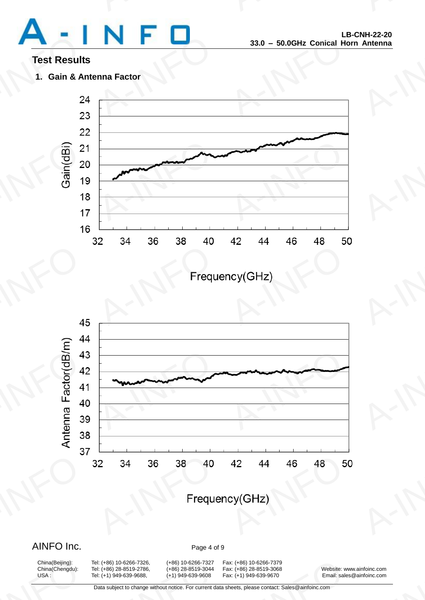

### **Test Results**

**1. Gain & Antenna Factor**





### AINFO Inc. Page 4 of 9

China(Beijing):<br>China(Chengdu):<br>USA :

9: (+86) 10-6266-7326, (+86) 10-6266-7327<br>9: (+86) 28-8519-2786, (+86) 28-8519-3044<br>9: (+1) 949-639-9688, (+1) 949-639-9608<br>Data subject to change without notice. For current d

China(Beijing): Tel: (+86) 10-6266-7326, (+86) 10-6266-7327 Fax: (+86) 10-6266-7379 China(Chengdu): Tel: (+86) 28-8519-2786, (+86) 28-8519-3044 Fax: (+86) 28-8519-3068 Website: www.ainfoinc.com x: (+86) 10-6266-7379<br>x: (+86) 28-8519-3068 Website: w<br>x: (+1) 949-639-9670 Email: sale<br>heets, please contact: Sales@ainfoinc.com

USA : Tel: (+1) 949-639-9688, (+1) 949-639-9608 Fax: (+1) 949-639-9670 Email: sales@ainfoinc.com A-INFO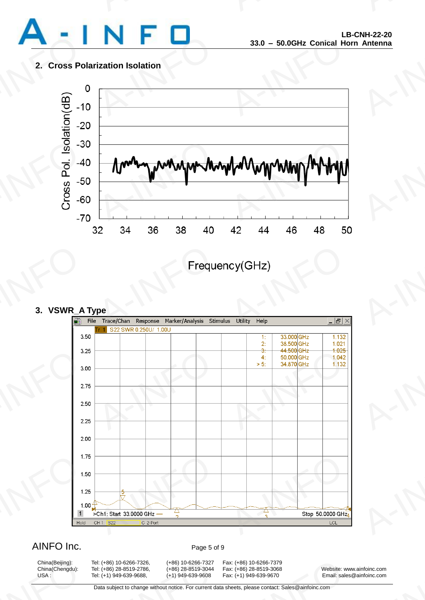

#### **2. Cross Polarization Isolation**



#### **3. VSWR\_A Type**



### AINFO Inc. Page 5 of 9

China(Beijing):<br>China(Chengdu):<br>USA :

China(Beijing): Tel: (+86) 10-6266-7326, (+86) 10-6266-7327 Fax: (+86) 10-6266-7379<br>China(Chengdu): Tel: (+86) 28-8519-2786, (+86) 28-8519-3044 Fax: (+86) 28-8519-3068 9: (+86) 10-6266-7326, (+86) 10-6266-7327<br>9: (+86) 28-8519-2786, (+86) 28-8519-3044<br>9: (+1) 949-639-9688, (+1) 949-639-9608<br>Data subject to change without notice. For current d

x: (+86) 10-6266-7379<br>x: (+86) 28-8519-3068 Website: w<br>x: (+1) 949-639-9670 Email: sale<br>heets, please contact: Sales@ainfoinc.com

China(Chengdu): Tel: (+86) 28-8519-2786, (+86) 28-8519-3044 Fax: (+86) 28-8519-3068 Website: www.ainfoinc.com USA : Tel: (+1) 949-639-9688, (+1) 949-639-9608 Fax: (+1) 949-639-9670 Email: sales@ainfoinc.com A-INFO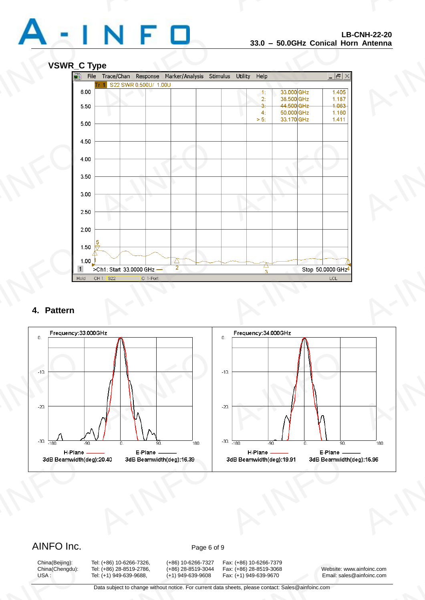



#### **4. Pattern**



### AINFO Inc. Page 6 of 9

China(Beijing):<br>China(Chengdu):<br>USA :

China(Beijing): Tel: (+86) 10-6266-7326, (+86) 10-6266-7327 Fax: (+86) 10-6266-7379 9: (+86) 10-6266-7326, (+86) 10-6266-7327<br>9: (+86) 28-8519-2786, (+86) 28-8519-3044<br>9: (+1) 949-639-9688, (+1) 949-639-9608<br>Data subject to change without notice. For current d

x: (+86) 10-6266-7379<br>x: (+86) 28-8519-3068 Website: w<br>x: (+1) 949-639-9670 Email: sale<br>heets, please contact: Sales@ainfoinc.com

China(Chengdu): Tel: (+86) 28-8519-2786, (+86) 28-8519-3044 Fax: (+86) 28-8519-3068 Website: www.ainfoinc.com USA : Tel: (+1) 949-639-9688, (+1) 949-639-9608 Fax: (+1) 949-639-9670 Email: sales@ainfoinc.com A-INFO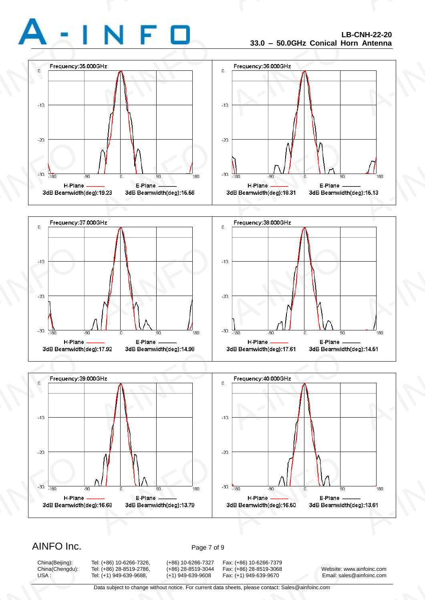







### AINFO Inc. Page 7 of 9

China(Beijing):<br>China(Chengdu):<br>USA :

9: (+86) 10-6266-7326, (+86) 10-6266-7327<br>9: (+86) 28-8519-2786, (+86) 28-8519-3044<br>9: (+1) 949-639-9688, (+1) 949-639-9608<br>Data subject to change without notice. For current d

China(Beijing): Tel: (+86) 10-6266-7326, (+86) 10-6266-7327 Fax: (+86) 10-6266-7379<br>China(Chengdu): Tel: (+86) 28-8519-2786, (+86) 28-8519-3044 Fax: (+86) 28-8519-3068 x: (+86) 10-6266-7379<br>x: (+86) 28-8519-3068 Website: w<br>x: (+1) 949-639-9670 Email: sale<br>heets, please contact: Sales@ainfoinc.com

China(Chengdu): Tel: (+86) 28-8519-2786, (+86) 28-8519-3044 Fax: (+86) 28-8519-3068 Website: www.ainfoinc.com USA : Tel: (+1) 949-639-9688, (+1) 949-639-9608 Fax: (+1) 949-639-9670 Email: sales@ainfoinc.com A-INFO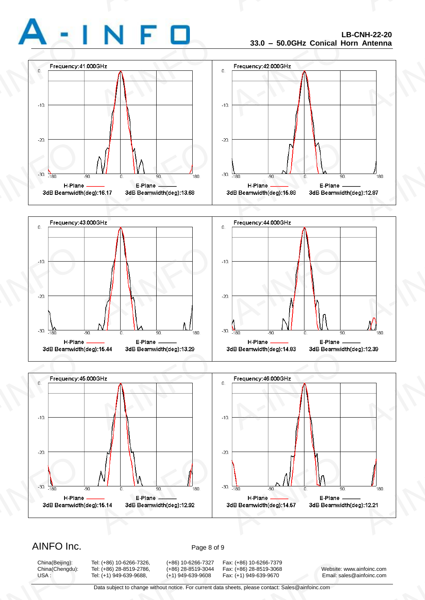







### AINFO Inc. Page 8 of 9

China(Beijing):<br>China(Chengdu):<br>USA :

9: (+86) 10-6266-7326, (+86) 10-6266-7327<br>9: (+86) 28-8519-2786, (+86) 28-8519-3044<br>9: (+1) 949-639-9688, (+1) 949-639-9608<br>Data subject to change without notice. For current d

China(Beijing): Tel: (+86) 10-6266-7326, (+86) 10-6266-7327 Fax: (+86) 10-6266-7379<br>China(Chengdu): Tel: (+86) 28-8519-2786, (+86) 28-8519-3044 Fax: (+86) 28-8519-3068 x: (+86) 10-6266-7379<br>x: (+86) 28-8519-3068 Website: w<br>x: (+1) 949-639-9670 Email: sale<br>heets, please contact: Sales@ainfoinc.com

China(Chengdu): Tel: (+86) 28-8519-2786, (+86) 28-8519-3044 Fax: (+86) 28-8519-3068 Website: www.ainfoinc.com USA : Tel: (+1) 949-639-9688, (+1) 949-639-9608 Fax: (+1) 949-639-9670 Email: sales@ainfoinc.com A-INFO